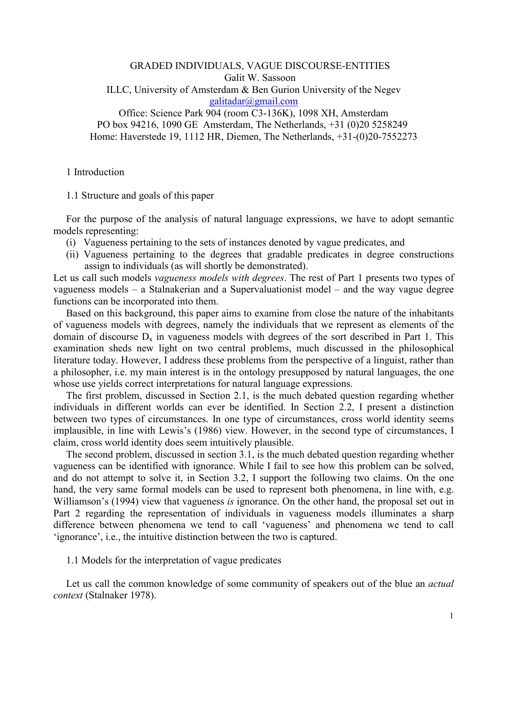# GRADED INDIVIDUALS, VAGUE DISCOURSE-ENTITIES Galit W. Sassoon ILLC, University of Amsterdam & Ben Gurion University of the Negev [g](mailto:galitadar@gmail.com)alitadar@gmail.com Office: Science Park 904 (room C3-136K), 1098 XH, Amsterdam

PO box 94216, 1090 GE Amsterdam, The Netherlands, +31 (0)20 5258249 Home: Haverstede 19, 1112 HR, Diemen, The Netherlands, +31-(0)20-7552273

## 1 Introduction

1.1 Structure and goals of this paper

For the purpose of the analysis of natural language expressions, we have to adopt semantic models representing:

- (i) Vagueness pertaining to the sets of instances denoted by vague predicates, and
- (ii) Vagueness pertaining to the degrees that gradable predicates in degree constructions assign to individuals (as will shortly be demonstrated).

Let us call such models vagueness models with degrees. The rest of Part 1 presents two types of vagueness models – a Stalnakerian and a Supervaluationist model – and the way vague degree functions can be incorporated into them.

Based on this background, this paper aims to examine from close the nature of the inhabitants of vagueness models with degrees, namely the individuals that we represent as elements of the domain of discourse  $D_x$  in vagueness models with degrees of the sort described in Part 1. This examination sheds new light on two central problems, much discussed in the philosophical literature today. However, I address these problems from the perspective of a linguist, rather than a philosopher, i.e. my main interest is in the ontology presupposed by natural languages, the one whose use yields correct interpretations for natural language expressions.

The first problem, discussed in Section 2.1, is the much debated question regarding whether individuals in different worlds can ever be identified. In Section 2.2, I present a distinction between two types of circumstances. In one type of circumstances, cross world identity seems implausible, in line with Lewis's (1986) view. However, in the second type of circumstances, I claim, cross world identity does seem intuitively plausible.

The second problem, discussed in section 3.1, is the much debated question regarding whether vagueness can be identified with ignorance. While I fail to see how this problem can be solved, and do not attempt to solve it, in Section 3.2, I support the following two claims. On the one hand, the very same formal models can be used to represent both phenomena, in line with, e.g. Williamson's (1994) view that vagueness *is* ignorance. On the other hand, the proposal set out in Part 2 regarding the representation of individuals in vagueness models illuminates a sharp difference between phenomena we tend to call 'vagueness' and phenomena we tend to call 'ignorance', i.e., the intuitive distinction between the two is captured.

### 1.1 Models for the interpretation of vague predicates

Let us call the common knowledge of some community of speakers out of the blue an *actual* context (Stalnaker 1978).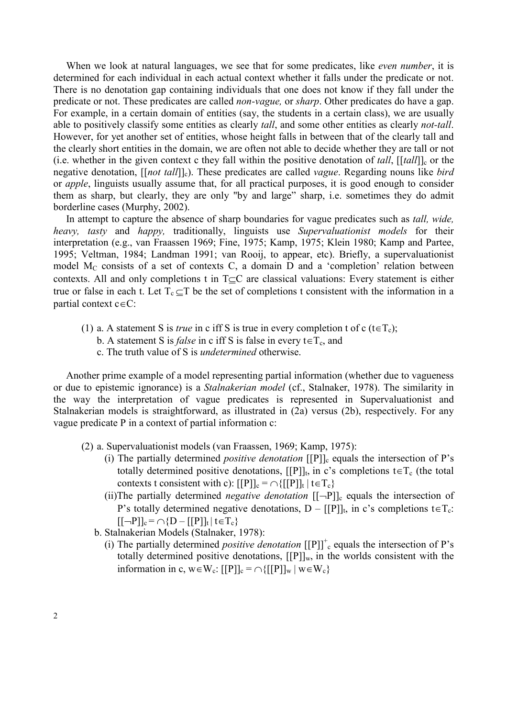When we look at natural languages, we see that for some predicates, like *even number*, it is determined for each individual in each actual context whether it falls under the predicate or not. There is no denotation gap containing individuals that one does not know if they fall under the predicate or not. These predicates are called *non-vague*, or *sharp*. Other predicates do have a gap. For example, in a certain domain of entities (say, the students in a certain class), we are usually able to positively classify some entities as clearly *tall*, and some other entities as clearly *not-tall*. However, for yet another set of entities, whose height falls in between that of the clearly tall and the clearly short entities in the domain, we are often not able to decide whether they are tall or not (i.e. whether in the given context c they fall within the positive denotation of *tall*, [[*tall*]]<sub>c</sub> or the negative denotation,  $[[not tall]]_c$ ). These predicates are called *vague*. Regarding nouns like *bird* or apple, linguists usually assume that, for all practical purposes, it is good enough to consider them as sharp, but clearly, they are only "by and large" sharp, i.e. sometimes they do admit borderline cases (Murphy, 2002).

In attempt to capture the absence of sharp boundaries for vague predicates such as *tall*, *wide*, heavy, tasty and happy, traditionally, linguists use Supervaluationist models for their interpretation (e.g., van Fraassen 1969; Fine, 1975; Kamp, 1975; Klein 1980; Kamp and Partee, 1995; Veltman, 1984; Landman 1991; van Rooij, to appear, etc). Briefly, a supervaluationist model  $M_C$  consists of a set of contexts C, a domain D and a 'completion' relation between contexts. All and only completions t in T⊆C are classical valuations: Every statement is either true or false in each t. Let  $T_c \subseteq T$  be the set of completions t consistent with the information in a partial context c∈C:

- (1) a. A statement S is *true* in c iff S is true in every completion t of c (t $\in$ T<sub>c</sub>);
	- b. A statement S is *false* in c iff S is false in every  $t \in T_c$ , and
	- c. The truth value of S is undetermined otherwise.

Another prime example of a model representing partial information (whether due to vagueness or due to epistemic ignorance) is a Stalnakerian model (cf., Stalnaker, 1978). The similarity in the way the interpretation of vague predicates is represented in Supervaluationist and Stalnakerian models is straightforward, as illustrated in (2a) versus (2b), respectively. For any vague predicate P in a context of partial information c:

- (2) a. Supervaluationist models (van Fraassen, 1969; Kamp, 1975):
	- (i) The partially determined *positive denotation*  $[$ [P]]<sub>c</sub> equals the intersection of P's totally determined positive denotations, [[P]]<sub>t</sub>, in c's completions  $t \in T_c$  (the total contexts t consistent with c):  $[[P]]_c = \bigcap \{ [[P]]_t | t \in T_c \}$
	- (ii)The partially determined *negative denotation*  $[[-P]]_c$  equals the intersection of P's totally determined negative denotations,  $D - [[P]]_t$ , in c's completions  $t \in T_c$ .  $[[-P]]_c = \bigcap \{D - [[P]]_t | t \in T_c\}$
	- b. Stalnakerian Models (Stalnaker, 1978):
		- (i) The partially determined *positive denotation*  $[[P]]^+$ <sub>c</sub> equals the intersection of P's totally determined positive denotations,  $[[P]]_{w}$ , in the worlds consistent with the information in c, w∈W<sub>c</sub>:  $[[P]]_c = \cap \{[[P]]_w \mid w \in W_c\}$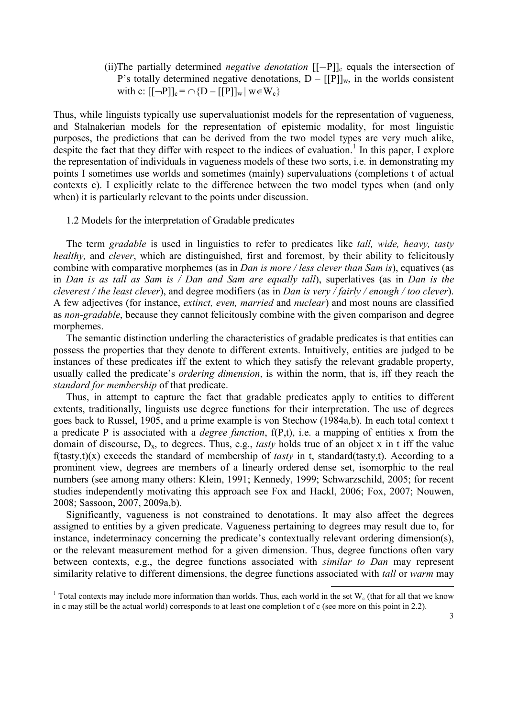(ii)The partially determined *negative denotation*  $[[\neg P]]_c$  equals the intersection of P's totally determined negative denotations,  $D - [[P]]_w$ , in the worlds consistent with c:  $[[-P]]_c = \bigcap \{D - [[P]]_w | w \in W_c\}$ 

Thus, while linguists typically use supervaluationist models for the representation of vagueness, and Stalnakerian models for the representation of epistemic modality, for most linguistic purposes, the predictions that can be derived from the two model types are very much alike, despite the fact that they differ with respect to the indices of evaluation.<sup>1</sup> In this paper, I explore the representation of individuals in vagueness models of these two sorts, i.e. in demonstrating my points I sometimes use worlds and sometimes (mainly) supervaluations (completions t of actual contexts c). I explicitly relate to the difference between the two model types when (and only when) it is particularly relevant to the points under discussion.

1.2 Models for the interpretation of Gradable predicates

The term gradable is used in linguistics to refer to predicates like *tall*, *wide*, *heavy*, *tasty* healthy, and clever, which are distinguished, first and foremost, by their ability to felicitously combine with comparative morphemes (as in *Dan is more / less clever than Sam is*), equatives (as in Dan is as tall as Sam is / Dan and Sam are equally tall), superlatives (as in Dan is the cleverest / the least clever), and degree modifiers (as in Dan is very / fairly / enough / too clever). A few adjectives (for instance, extinct, even, married and nuclear) and most nouns are classified as non-gradable, because they cannot felicitously combine with the given comparison and degree morphemes.

The semantic distinction underling the characteristics of gradable predicates is that entities can possess the properties that they denote to different extents. Intuitively, entities are judged to be instances of these predicates iff the extent to which they satisfy the relevant gradable property, usually called the predicate's ordering dimension, is within the norm, that is, iff they reach the standard for membership of that predicate.

Thus, in attempt to capture the fact that gradable predicates apply to entities to different extents, traditionally, linguists use degree functions for their interpretation. The use of degrees goes back to Russel, 1905, and a prime example is von Stechow (1984a,b). In each total context t a predicate P is associated with a *degree function*,  $f(P,t)$ , i.e. a mapping of entities x from the domain of discourse,  $D_x$ , to degrees. Thus, e.g., *tasty* holds true of an object x in t iff the value  $f(tasty,t)(x)$  exceeds the standard of membership of *tasty* in t, standard(tasty,t). According to a prominent view, degrees are members of a linearly ordered dense set, isomorphic to the real numbers (see among many others: Klein, 1991; Kennedy, 1999; Schwarzschild, 2005; for recent studies independently motivating this approach see Fox and Hackl, 2006; Fox, 2007; Nouwen, 2008; Sassoon, 2007, 2009a,b).

Significantly, vagueness is not constrained to denotations. It may also affect the degrees assigned to entities by a given predicate. Vagueness pertaining to degrees may result due to, for instance, indeterminacy concerning the predicate's contextually relevant ordering dimension(s), or the relevant measurement method for a given dimension. Thus, degree functions often vary between contexts, e.g., the degree functions associated with similar to Dan may represent similarity relative to different dimensions, the degree functions associated with *tall* or warm may

<sup>&</sup>lt;sup>1</sup> Total contexts may include more information than worlds. Thus, each world in the set  $W_c$  (that for all that we know in c may still be the actual world) corresponds to at least one completion t of c (see more on this point in 2.2).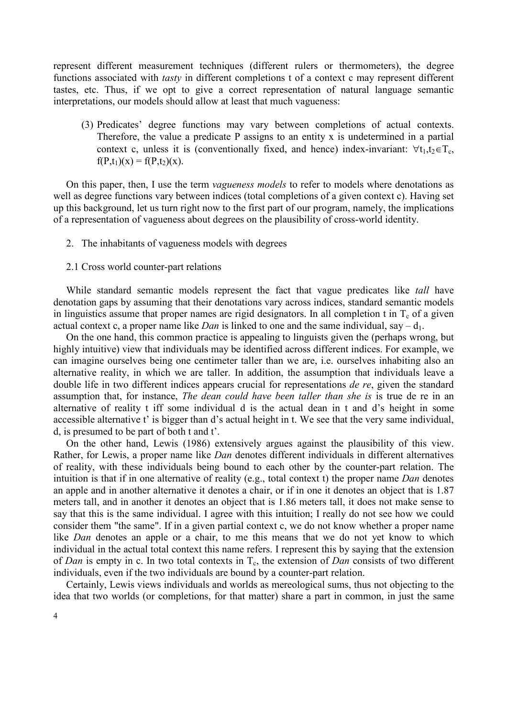represent different measurement techniques (different rulers or thermometers), the degree functions associated with tasty in different completions t of a context c may represent different tastes, etc. Thus, if we opt to give a correct representation of natural language semantic interpretations, our models should allow at least that much vagueness:

(3) Predicates' degree functions may vary between completions of actual contexts. Therefore, the value a predicate P assigns to an entity x is undetermined in a partial context c, unless it is (conventionally fixed, and hence) index-invariant:  $\forall t_1, t_2 \in T_c$ ,  $f(P,t_1)(x) = f(P,t_2)(x)$ .

On this paper, then, I use the term vagueness models to refer to models where denotations as well as degree functions vary between indices (total completions of a given context c). Having set up this background, let us turn right now to the first part of our program, namely, the implications of a representation of vagueness about degrees on the plausibility of cross-world identity.

- 2. The inhabitants of vagueness models with degrees
- 2.1 Cross world counter-part relations

While standard semantic models represent the fact that vague predicates like *tall* have denotation gaps by assuming that their denotations vary across indices, standard semantic models in linguistics assume that proper names are rigid designators. In all completion t in  $T_c$  of a given actual context c, a proper name like *Dan* is linked to one and the same individual, say  $- d_1$ .

On the one hand, this common practice is appealing to linguists given the (perhaps wrong, but highly intuitive) view that individuals may be identified across different indices. For example, we can imagine ourselves being one centimeter taller than we are, i.e. ourselves inhabiting also an alternative reality, in which we are taller. In addition, the assumption that individuals leave a double life in two different indices appears crucial for representations *de re*, given the standard assumption that, for instance, The dean could have been taller than she is is true de re in an alternative of reality t iff some individual d is the actual dean in t and d's height in some accessible alternative t' is bigger than d's actual height in t. We see that the very same individual, d, is presumed to be part of both t and t'.

On the other hand, Lewis (1986) extensively argues against the plausibility of this view. Rather, for Lewis, a proper name like Dan denotes different individuals in different alternatives of reality, with these individuals being bound to each other by the counter-part relation. The intuition is that if in one alternative of reality (e.g., total context t) the proper name Dan denotes an apple and in another alternative it denotes a chair, or if in one it denotes an object that is 1.87 meters tall, and in another it denotes an object that is 1.86 meters tall, it does not make sense to say that this is the same individual. I agree with this intuition; I really do not see how we could consider them "the same". If in a given partial context c, we do not know whether a proper name like *Dan* denotes an apple or a chair, to me this means that we do not yet know to which individual in the actual total context this name refers. I represent this by saying that the extension of Dan is empty in c. In two total contexts in  $T_c$ , the extension of Dan consists of two different individuals, even if the two individuals are bound by a counter-part relation.

Certainly, Lewis views individuals and worlds as mereological sums, thus not objecting to the idea that two worlds (or completions, for that matter) share a part in common, in just the same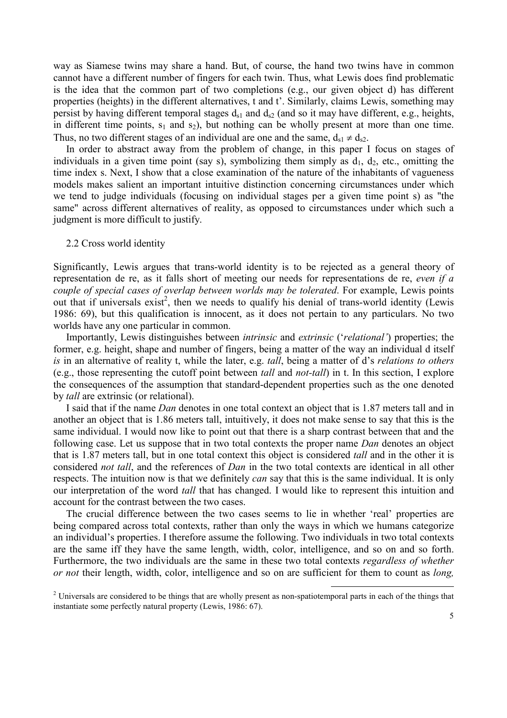way as Siamese twins may share a hand. But, of course, the hand two twins have in common cannot have a different number of fingers for each twin. Thus, what Lewis does find problematic is the idea that the common part of two completions (e.g., our given object d) has different properties (heights) in the different alternatives, t and t'. Similarly, claims Lewis, something may persist by having different temporal stages  $d_{s1}$  and  $d_{s2}$  (and so it may have different, e.g., heights, in different time points,  $s_1$  and  $s_2$ ), but nothing can be wholly present at more than one time. Thus, no two different stages of an individual are one and the same,  $d_{s1} \neq d_{s2}$ .

In order to abstract away from the problem of change, in this paper I focus on stages of individuals in a given time point (say s), symbolizing them simply as  $d_1$ ,  $d_2$ , etc., omitting the time index s. Next, I show that a close examination of the nature of the inhabitants of vagueness models makes salient an important intuitive distinction concerning circumstances under which we tend to judge individuals (focusing on individual stages per a given time point s) as "the same" across different alternatives of reality, as opposed to circumstances under which such a judgment is more difficult to justify.

## 2.2 Cross world identity

Significantly, Lewis argues that trans-world identity is to be rejected as a general theory of representation de re, as it falls short of meeting our needs for representations de re, even if a couple of special cases of overlap between worlds may be tolerated. For example, Lewis points out that if universals exist<sup>2</sup>, then we needs to qualify his denial of trans-world identity (Lewis 1986: 69), but this qualification is innocent, as it does not pertain to any particulars. No two worlds have any one particular in common.

Importantly, Lewis distinguishes between intrinsic and extrinsic ('relational') properties; the former, e.g. height, shape and number of fingers, being a matter of the way an individual d itself is in an alternative of reality t, while the later, e.g. tall, being a matter of d's relations to others (e.g., those representing the cutoff point between tall and not-tall) in t. In this section, I explore the consequences of the assumption that standard-dependent properties such as the one denoted by tall are extrinsic (or relational).

I said that if the name Dan denotes in one total context an object that is 1.87 meters tall and in another an object that is 1.86 meters tall, intuitively, it does not make sense to say that this is the same individual. I would now like to point out that there is a sharp contrast between that and the following case. Let us suppose that in two total contexts the proper name Dan denotes an object that is 1.87 meters tall, but in one total context this object is considered tall and in the other it is considered *not tall*, and the references of *Dan* in the two total contexts are identical in all other respects. The intuition now is that we definitely *can* say that this is the same individual. It is only our interpretation of the word *tall* that has changed. I would like to represent this intuition and account for the contrast between the two cases.

The crucial difference between the two cases seems to lie in whether 'real' properties are being compared across total contexts, rather than only the ways in which we humans categorize an individual's properties. I therefore assume the following. Two individuals in two total contexts are the same iff they have the same length, width, color, intelligence, and so on and so forth. Furthermore, the two individuals are the same in these two total contexts regardless of whether or not their length, width, color, intelligence and so on are sufficient for them to count as long,

 $2$  Universals are considered to be things that are wholly present as non-spatiotemporal parts in each of the things that instantiate some perfectly natural property (Lewis, 1986: 67).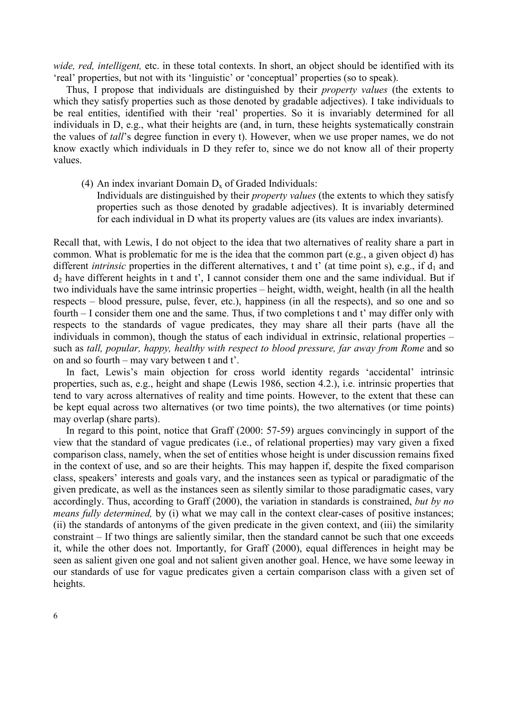wide, red, intelligent, etc. in these total contexts. In short, an object should be identified with its 'real' properties, but not with its 'linguistic' or 'conceptual' properties (so to speak).

Thus, I propose that individuals are distinguished by their property values (the extents to which they satisfy properties such as those denoted by gradable adjectives). I take individuals to be real entities, identified with their 'real' properties. So it is invariably determined for all individuals in D, e.g., what their heights are (and, in turn, these heights systematically constrain the values of tall's degree function in every t). However, when we use proper names, we do not know exactly which individuals in D they refer to, since we do not know all of their property values.

- (4) An index invariant Domain  $D_x$  of Graded Individuals:
	- Individuals are distinguished by their property values (the extents to which they satisfy properties such as those denoted by gradable adjectives). It is invariably determined for each individual in D what its property values are (its values are index invariants).

Recall that, with Lewis, I do not object to the idea that two alternatives of reality share a part in common. What is problematic for me is the idea that the common part (e.g., a given object d) has different *intrinsic* properties in the different alternatives, t and t' (at time point s), e.g., if  $d_1$  and d2 have different heights in t and t', I cannot consider them one and the same individual. But if two individuals have the same intrinsic properties – height, width, weight, health (in all the health respects – blood pressure, pulse, fever, etc.), happiness (in all the respects), and so one and so fourth – I consider them one and the same. Thus, if two completions t and t' may differ only with respects to the standards of vague predicates, they may share all their parts (have all the individuals in common), though the status of each individual in extrinsic, relational properties – such as tall, popular, happy, healthy with respect to blood pressure, far away from Rome and so on and so fourth – may vary between t and t'.

In fact, Lewis's main objection for cross world identity regards 'accidental' intrinsic properties, such as, e.g., height and shape (Lewis 1986, section 4.2.), i.e. intrinsic properties that tend to vary across alternatives of reality and time points. However, to the extent that these can be kept equal across two alternatives (or two time points), the two alternatives (or time points) may overlap (share parts).

In regard to this point, notice that Graff (2000: 57-59) argues convincingly in support of the view that the standard of vague predicates (i.e., of relational properties) may vary given a fixed comparison class, namely, when the set of entities whose height is under discussion remains fixed in the context of use, and so are their heights. This may happen if, despite the fixed comparison class, speakers' interests and goals vary, and the instances seen as typical or paradigmatic of the given predicate, as well as the instances seen as silently similar to those paradigmatic cases, vary accordingly. Thus, according to Graff (2000), the variation in standards is constrained, but by no means fully determined, by (i) what we may call in the context clear-cases of positive instances; (ii) the standards of antonyms of the given predicate in the given context, and (iii) the similarity constraint – If two things are saliently similar, then the standard cannot be such that one exceeds it, while the other does not. Importantly, for Graff (2000), equal differences in height may be seen as salient given one goal and not salient given another goal. Hence, we have some leeway in our standards of use for vague predicates given a certain comparison class with a given set of heights.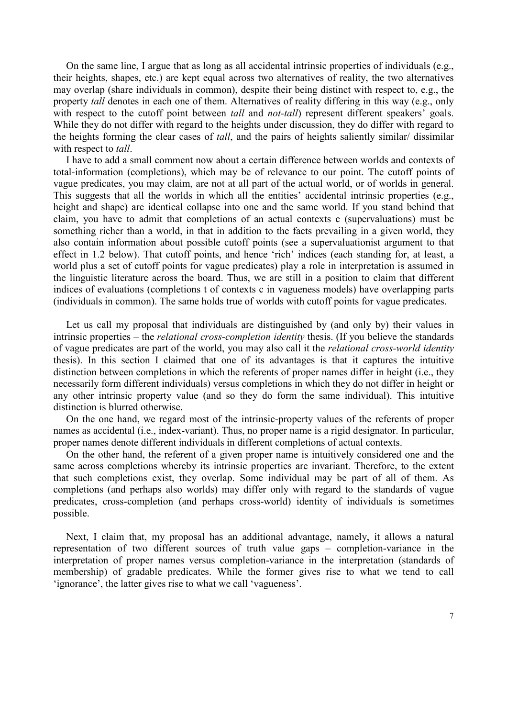On the same line, I argue that as long as all accidental intrinsic properties of individuals (e.g., their heights, shapes, etc.) are kept equal across two alternatives of reality, the two alternatives may overlap (share individuals in common), despite their being distinct with respect to, e.g., the property tall denotes in each one of them. Alternatives of reality differing in this way (e.g., only with respect to the cutoff point between *tall* and *not-tall*) represent different speakers' goals. While they do not differ with regard to the heights under discussion, they do differ with regard to the heights forming the clear cases of *tall*, and the pairs of heights saliently similar/ dissimilar with respect to *tall*.

I have to add a small comment now about a certain difference between worlds and contexts of total-information (completions), which may be of relevance to our point. The cutoff points of vague predicates, you may claim, are not at all part of the actual world, or of worlds in general. This suggests that all the worlds in which all the entities' accidental intrinsic properties (e.g., height and shape) are identical collapse into one and the same world. If you stand behind that claim, you have to admit that completions of an actual contexts c (supervaluations) must be something richer than a world, in that in addition to the facts prevailing in a given world, they also contain information about possible cutoff points (see a supervaluationist argument to that effect in 1.2 below). That cutoff points, and hence 'rich' indices (each standing for, at least, a world plus a set of cutoff points for vague predicates) play a role in interpretation is assumed in the linguistic literature across the board. Thus, we are still in a position to claim that different indices of evaluations (completions t of contexts c in vagueness models) have overlapping parts (individuals in common). The same holds true of worlds with cutoff points for vague predicates.

Let us call my proposal that individuals are distinguished by (and only by) their values in intrinsic properties – the *relational cross-completion identity* thesis. (If you believe the standards of vague predicates are part of the world, you may also call it the relational cross-world identity thesis). In this section I claimed that one of its advantages is that it captures the intuitive distinction between completions in which the referents of proper names differ in height (i.e., they necessarily form different individuals) versus completions in which they do not differ in height or any other intrinsic property value (and so they do form the same individual). This intuitive distinction is blurred otherwise.

On the one hand, we regard most of the intrinsic-property values of the referents of proper names as accidental (i.e., index-variant). Thus, no proper name is a rigid designator. In particular, proper names denote different individuals in different completions of actual contexts.

On the other hand, the referent of a given proper name is intuitively considered one and the same across completions whereby its intrinsic properties are invariant. Therefore, to the extent that such completions exist, they overlap. Some individual may be part of all of them. As completions (and perhaps also worlds) may differ only with regard to the standards of vague predicates, cross-completion (and perhaps cross-world) identity of individuals is sometimes possible.

Next, I claim that, my proposal has an additional advantage, namely, it allows a natural representation of two different sources of truth value gaps – completion-variance in the interpretation of proper names versus completion-variance in the interpretation (standards of membership) of gradable predicates. While the former gives rise to what we tend to call 'ignorance', the latter gives rise to what we call 'vagueness'.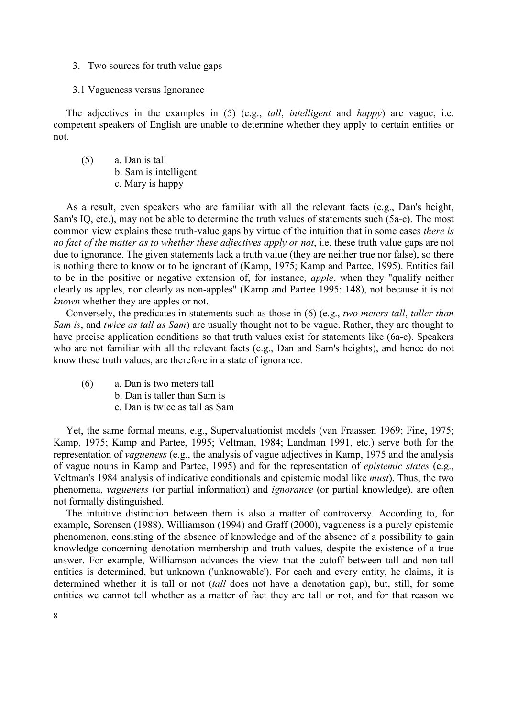- 3. Two sources for truth value gaps
- 3.1 Vagueness versus Ignorance

The adjectives in the examples in (5) (e.g., *tall*, *intelligent* and *happy*) are vague, i.e. competent speakers of English are unable to determine whether they apply to certain entities or not.

(5) a. Dan is tall b. Sam is intelligent c. Mary is happy

As a result, even speakers who are familiar with all the relevant facts (e.g., Dan's height, Sam's IQ, etc.), may not be able to determine the truth values of statements such (5a-c). The most common view explains these truth-value gaps by virtue of the intuition that in some cases there is no fact of the matter as to whether these adjectives apply or not, i.e. these truth value gaps are not due to ignorance. The given statements lack a truth value (they are neither true nor false), so there is nothing there to know or to be ignorant of (Kamp, 1975; Kamp and Partee, 1995). Entities fail to be in the positive or negative extension of, for instance, apple, when they "qualify neither clearly as apples, nor clearly as non-apples" (Kamp and Partee 1995: 148), not because it is not known whether they are apples or not.

Conversely, the predicates in statements such as those in (6) (e.g., two meters tall, taller than Sam is, and twice as tall as Sam) are usually thought not to be vague. Rather, they are thought to have precise application conditions so that truth values exist for statements like (6a-c). Speakers who are not familiar with all the relevant facts (e.g., Dan and Sam's heights), and hence do not know these truth values, are therefore in a state of ignorance.

- (6) a. Dan is two meters tall
	- b. Dan is taller than Sam is
	- c. Dan is twice as tall as Sam

Yet, the same formal means, e.g., Supervaluationist models (van Fraassen 1969; Fine, 1975; Kamp, 1975; Kamp and Partee, 1995; Veltman, 1984; Landman 1991, etc.) serve both for the representation of vagueness (e.g., the analysis of vague adjectives in Kamp, 1975 and the analysis of vague nouns in Kamp and Partee, 1995) and for the representation of epistemic states (e.g., Veltman's 1984 analysis of indicative conditionals and epistemic modal like must). Thus, the two phenomena, vagueness (or partial information) and ignorance (or partial knowledge), are often not formally distinguished.

The intuitive distinction between them is also a matter of controversy. According to, for example, Sorensen (1988), Williamson (1994) and Graff (2000), vagueness is a purely epistemic phenomenon, consisting of the absence of knowledge and of the absence of a possibility to gain knowledge concerning denotation membership and truth values, despite the existence of a true answer. For example, Williamson advances the view that the cutoff between tall and non-tall entities is determined, but unknown ('unknowable'). For each and every entity, he claims, it is determined whether it is tall or not *(tall does not have a denotation gap)*, but, still, for some entities we cannot tell whether as a matter of fact they are tall or not, and for that reason we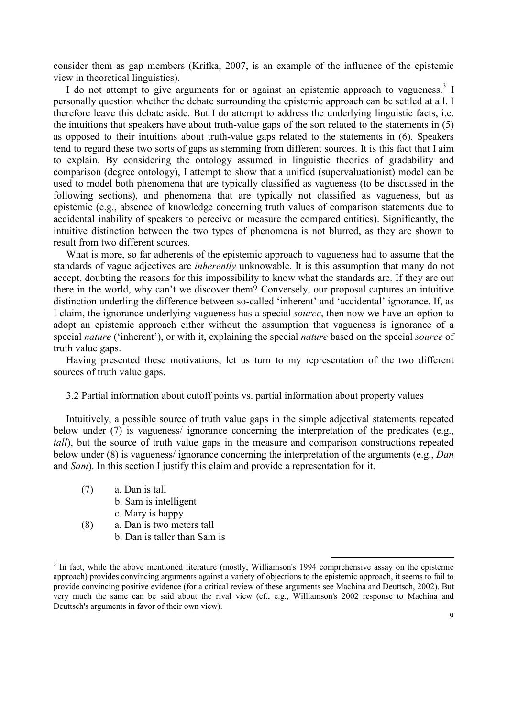consider them as gap members (Krifka, 2007, is an example of the influence of the epistemic view in theoretical linguistics).

I do not attempt to give arguments for or against an epistemic approach to vagueness.<sup>3</sup> I personally question whether the debate surrounding the epistemic approach can be settled at all. I therefore leave this debate aside. But I do attempt to address the underlying linguistic facts, i.e. the intuitions that speakers have about truth-value gaps of the sort related to the statements in (5) as opposed to their intuitions about truth-value gaps related to the statements in (6). Speakers tend to regard these two sorts of gaps as stemming from different sources. It is this fact that I aim to explain. By considering the ontology assumed in linguistic theories of gradability and comparison (degree ontology), I attempt to show that a unified (supervaluationist) model can be used to model both phenomena that are typically classified as vagueness (to be discussed in the following sections), and phenomena that are typically not classified as vagueness, but as epistemic (e.g., absence of knowledge concerning truth values of comparison statements due to accidental inability of speakers to perceive or measure the compared entities). Significantly, the intuitive distinction between the two types of phenomena is not blurred, as they are shown to result from two different sources.

What is more, so far adherents of the epistemic approach to vagueness had to assume that the standards of vague adjectives are *inherently* unknowable. It is this assumption that many do not accept, doubting the reasons for this impossibility to know what the standards are. If they are out there in the world, why can't we discover them? Conversely, our proposal captures an intuitive distinction underling the difference between so-called 'inherent' and 'accidental' ignorance. If, as I claim, the ignorance underlying vagueness has a special source, then now we have an option to adopt an epistemic approach either without the assumption that vagueness is ignorance of a special *nature* ('inherent'), or with it, explaining the special *nature* based on the special *source* of truth value gaps.

Having presented these motivations, let us turn to my representation of the two different sources of truth value gaps.

3.2 Partial information about cutoff points vs. partial information about property values

Intuitively, a possible source of truth value gaps in the simple adjectival statements repeated below under (7) is vagueness/ ignorance concerning the interpretation of the predicates (e.g., tall), but the source of truth value gaps in the measure and comparison constructions repeated below under (8) is vagueness/ ignorance concerning the interpretation of the arguments (e.g., Dan and Sam). In this section I justify this claim and provide a representation for it.

- (7) a. Dan is tall
	- b. Sam is intelligent
		- c. Mary is happy
- (8) a. Dan is two meters tall b. Dan is taller than Sam is

<sup>&</sup>lt;sup>3</sup> In fact, while the above mentioned literature (mostly, Williamson's 1994 comprehensive assay on the epistemic approach) provides convincing arguments against a variety of objections to the epistemic approach, it seems to fail to provide convincing positive evidence (for a critical review of these arguments see Machina and Deuttsch, 2002). But very much the same can be said about the rival view (cf., e.g., Williamson's 2002 response to Machina and Deuttsch's arguments in favor of their own view).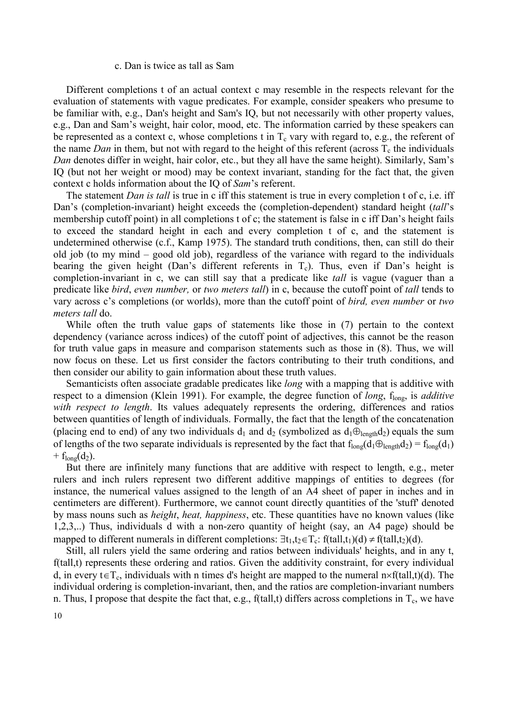#### c. Dan is twice as tall as Sam

Different completions t of an actual context c may resemble in the respects relevant for the evaluation of statements with vague predicates. For example, consider speakers who presume to be familiar with, e.g., Dan's height and Sam's IQ, but not necessarily with other property values, e.g., Dan and Sam's weight, hair color, mood, etc. The information carried by these speakers can be represented as a context c, whose completions t in  $T_c$  vary with regard to, e.g., the referent of the name Dan in them, but not with regard to the height of this referent (across  $T_c$  the individuals Dan denotes differ in weight, hair color, etc., but they all have the same height). Similarly, Sam's IQ (but not her weight or mood) may be context invariant, standing for the fact that, the given context c holds information about the IQ of Sam's referent.

The statement *Dan is tall* is true in c iff this statement is true in every completion t of c, i.e. iff Dan's (completion-invariant) height exceeds the (completion-dependent) standard height *(tall's* membership cutoff point) in all completions t of c; the statement is false in c iff Dan's height fails to exceed the standard height in each and every completion t of c, and the statement is undetermined otherwise (c.f., Kamp 1975). The standard truth conditions, then, can still do their old job (to my mind – good old job), regardless of the variance with regard to the individuals bearing the given height (Dan's different referents in  $T_c$ ). Thus, even if Dan's height is completion-invariant in c, we can still say that a predicate like *tall* is vague (vaguer than a predicate like bird, even number, or two meters tall) in c, because the cutoff point of tall tends to vary across c's completions (or worlds), more than the cutoff point of bird, even number or two meters tall do.

While often the truth value gaps of statements like those in (7) pertain to the context dependency (variance across indices) of the cutoff point of adjectives, this cannot be the reason for truth value gaps in measure and comparison statements such as those in (8). Thus, we will now focus on these. Let us first consider the factors contributing to their truth conditions, and then consider our ability to gain information about these truth values.

Semanticists often associate gradable predicates like long with a mapping that is additive with respect to a dimension (Klein 1991). For example, the degree function of *long*,  $f_{long}$ , is *additive* with respect to length. Its values adequately represents the ordering, differences and ratios between quantities of length of individuals. Formally, the fact that the length of the concatenation (placing end to end) of any two individuals  $d_1$  and  $d_2$  (symbolized as  $d_1 \oplus_{\text{length}} d_2$ ) equals the sum of lengths of the two separate individuals is represented by the fact that  $f_{long}(d_1 \oplus_{\text{length}} d_2) = f_{long}(d_1)$ +  $f_{long}(d_2)$ .

But there are infinitely many functions that are additive with respect to length, e.g., meter rulers and inch rulers represent two different additive mappings of entities to degrees (for instance, the numerical values assigned to the length of an A4 sheet of paper in inches and in centimeters are different). Furthermore, we cannot count directly quantities of the 'stuff' denoted by mass nouns such as *height, heat, happiness*, etc. These quantities have no known values (like 1,2,3,..) Thus, individuals d with a non-zero quantity of height (say, an A4 page) should be mapped to different numerals in different completions:  $\exists t_1, t_2 \in T_c$ : f(tall, $t_1$ )(d) ≠ f(tall, $t_2$ )(d).

Still, all rulers yield the same ordering and ratios between individuals' heights, and in any t, f(tall,t) represents these ordering and ratios. Given the additivity constraint, for every individual d, in every t∈T<sub>c</sub>, individuals with n times d's height are mapped to the numeral n×f(tall,t)(d). The individual ordering is completion-invariant, then, and the ratios are completion-invariant numbers n. Thus, I propose that despite the fact that, e.g.,  $f(tall,t)$  differs across completions in  $T_c$ , we have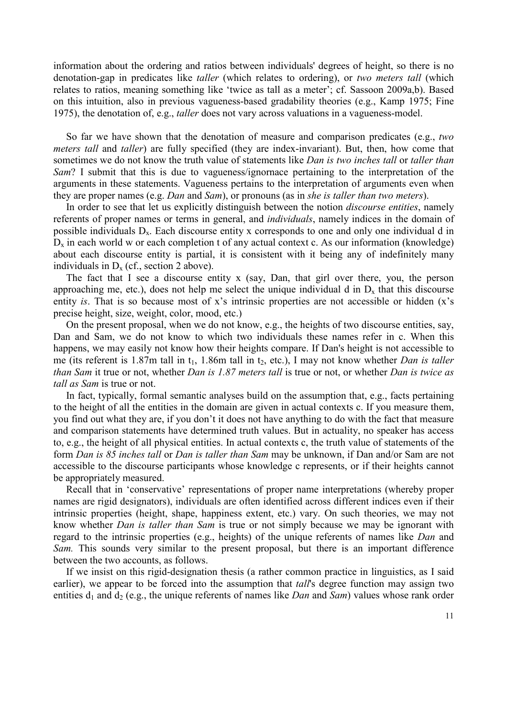information about the ordering and ratios between individuals' degrees of height, so there is no denotation-gap in predicates like taller (which relates to ordering), or two meters tall (which relates to ratios, meaning something like 'twice as tall as a meter'; cf. Sassoon 2009a,b). Based on this intuition, also in previous vagueness-based gradability theories (e.g., Kamp 1975; Fine 1975), the denotation of, e.g., *taller* does not vary across valuations in a vagueness-model.

So far we have shown that the denotation of measure and comparison predicates (e.g., two meters tall and taller) are fully specified (they are index-invariant). But, then, how come that sometimes we do not know the truth value of statements like *Dan is two inches tall* or *taller than* Sam? I submit that this is due to vagueness/ignornace pertaining to the interpretation of the arguments in these statements. Vagueness pertains to the interpretation of arguments even when they are proper names (e.g. *Dan* and *Sam*), or pronouns (as in *she is taller than two meters*).

In order to see that let us explicitly distinguish between the notion *discourse entities*, namely referents of proper names or terms in general, and individuals, namely indices in the domain of possible individuals  $D_x$ . Each discourse entity x corresponds to one and only one individual d in  $D_x$  in each world w or each completion t of any actual context c. As our information (knowledge) about each discourse entity is partial, it is consistent with it being any of indefinitely many individuals in  $D_x$  (cf., section 2 above).

The fact that I see a discourse entity x (say, Dan, that girl over there, you, the person approaching me, etc.), does not help me select the unique individual d in  $D_x$  that this discourse entity is. That is so because most of x's intrinsic properties are not accessible or hidden (x's precise height, size, weight, color, mood, etc.)

On the present proposal, when we do not know, e.g., the heights of two discourse entities, say, Dan and Sam, we do not know to which two individuals these names refer in c. When this happens, we may easily not know how their heights compare. If Dan's height is not accessible to me (its referent is 1.87m tall in  $t_1$ , 1.86m tall in  $t_2$ , etc.), I may not know whether *Dan is taller* than Sam it true or not, whether Dan is 1.87 meters tall is true or not, or whether Dan is twice as tall as Sam is true or not.

In fact, typically, formal semantic analyses build on the assumption that, e.g., facts pertaining to the height of all the entities in the domain are given in actual contexts c. If you measure them, you find out what they are, if you don't it does not have anything to do with the fact that measure and comparison statements have determined truth values. But in actuality, no speaker has access to, e.g., the height of all physical entities. In actual contexts c, the truth value of statements of the form Dan is 85 inches tall or Dan is taller than Sam may be unknown, if Dan and/or Sam are not accessible to the discourse participants whose knowledge c represents, or if their heights cannot be appropriately measured.

Recall that in 'conservative' representations of proper name interpretations (whereby proper names are rigid designators), individuals are often identified across different indices even if their intrinsic properties (height, shape, happiness extent, etc.) vary. On such theories, we may not know whether Dan is taller than Sam is true or not simply because we may be ignorant with regard to the intrinsic properties (e.g., heights) of the unique referents of names like Dan and Sam. This sounds very similar to the present proposal, but there is an important difference between the two accounts, as follows.

If we insist on this rigid-designation thesis (a rather common practice in linguistics, as I said earlier), we appear to be forced into the assumption that *tall's* degree function may assign two entities  $d_1$  and  $d_2$  (e.g., the unique referents of names like *Dan* and *Sam*) values whose rank order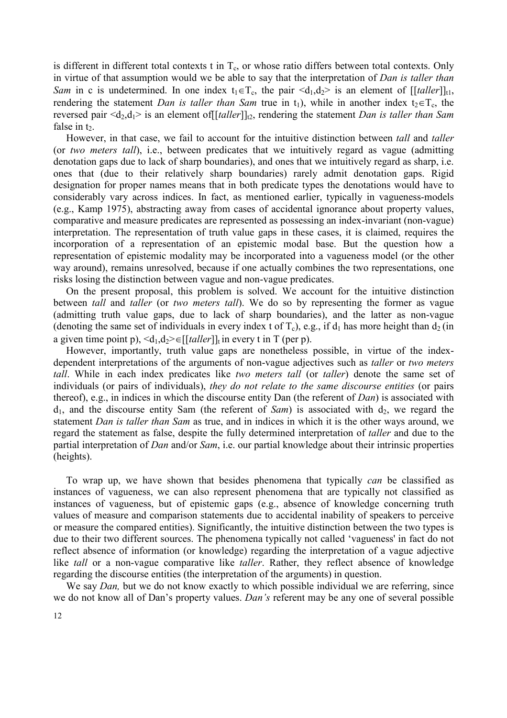is different in different total contexts t in  $T_c$ , or whose ratio differs between total contexts. Only in virtue of that assumption would we be able to say that the interpretation of Dan is taller than Sam in c is undetermined. In one index  $t_1 \in T_c$ , the pair  $\langle d_1, d_2 \rangle$  is an element of [[taller]]<sub>t1</sub>, rendering the statement Dan is taller than Sam true in t<sub>1</sub>), while in another index t<sub>2</sub>∈T<sub>c</sub>, the reversed pair  $\langle d_2, d_1 \rangle$  is an element of  $[[t\alpha \ell\ell\epsilon]]_{t2}$ , rendering the statement *Dan is taller than Sam* false in  $t<sub>2</sub>$ .

However, in that case, we fail to account for the intuitive distinction between *tall* and *taller* (or two meters tall), i.e., between predicates that we intuitively regard as vague (admitting denotation gaps due to lack of sharp boundaries), and ones that we intuitively regard as sharp, i.e. ones that (due to their relatively sharp boundaries) rarely admit denotation gaps. Rigid designation for proper names means that in both predicate types the denotations would have to considerably vary across indices. In fact, as mentioned earlier, typically in vagueness-models (e.g., Kamp 1975), abstracting away from cases of accidental ignorance about property values, comparative and measure predicates are represented as possessing an index-invariant (non-vague) interpretation. The representation of truth value gaps in these cases, it is claimed, requires the incorporation of a representation of an epistemic modal base. But the question how a representation of epistemic modality may be incorporated into a vagueness model (or the other way around), remains unresolved, because if one actually combines the two representations, one risks losing the distinction between vague and non-vague predicates.

On the present proposal, this problem is solved. We account for the intuitive distinction between *tall* and *taller* (or *two meters tall*). We do so by representing the former as vague (admitting truth value gaps, due to lack of sharp boundaries), and the latter as non-vague (denoting the same set of individuals in every index t of  $T_c$ ), e.g., if  $d_1$  has more height than  $d_2$  (in a given time point p),  $\langle d_1, d_2 \rangle \in [[taller]]_t$  in every t in T (per p).

However, importantly, truth value gaps are nonetheless possible, in virtue of the indexdependent interpretations of the arguments of non-vague adjectives such as taller or two meters tall. While in each index predicates like two meters tall (or taller) denote the same set of individuals (or pairs of individuals), they do not relate to the same discourse entities (or pairs thereof), e.g., in indices in which the discourse entity Dan (the referent of  $Dan$ ) is associated with  $d_1$ , and the discourse entity Sam (the referent of Sam) is associated with  $d_2$ , we regard the statement Dan is taller than Sam as true, and in indices in which it is the other ways around, we regard the statement as false, despite the fully determined interpretation of taller and due to the partial interpretation of Dan and/or Sam, i.e. our partial knowledge about their intrinsic properties (heights).

To wrap up, we have shown that besides phenomena that typically can be classified as instances of vagueness, we can also represent phenomena that are typically not classified as instances of vagueness, but of epistemic gaps (e.g., absence of knowledge concerning truth values of measure and comparison statements due to accidental inability of speakers to perceive or measure the compared entities). Significantly, the intuitive distinction between the two types is due to their two different sources. The phenomena typically not called 'vagueness' in fact do not reflect absence of information (or knowledge) regarding the interpretation of a vague adjective like *tall* or a non-vague comparative like *taller*. Rather, they reflect absence of knowledge regarding the discourse entities (the interpretation of the arguments) in question.

We say *Dan*, but we do not know exactly to which possible individual we are referring, since we do not know all of Dan's property values. Dan's referent may be any one of several possible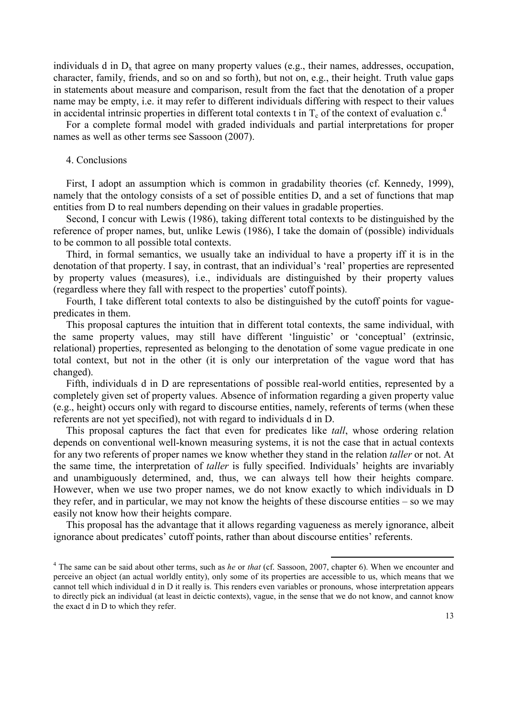individuals d in  $D_x$  that agree on many property values (e.g., their names, addresses, occupation, character, family, friends, and so on and so forth), but not on, e.g., their height. Truth value gaps in statements about measure and comparison, result from the fact that the denotation of a proper name may be empty, i.e. it may refer to different individuals differing with respect to their values in accidental intrinsic properties in different total contexts t in  $T_c$  of the context of evaluation  $c<sup>4</sup>$ .

For a complete formal model with graded individuals and partial interpretations for proper names as well as other terms see Sassoon (2007).

#### 4. Conclusions

First, I adopt an assumption which is common in gradability theories (cf. Kennedy, 1999), namely that the ontology consists of a set of possible entities D, and a set of functions that map entities from D to real numbers depending on their values in gradable properties.

Second, I concur with Lewis (1986), taking different total contexts to be distinguished by the reference of proper names, but, unlike Lewis (1986), I take the domain of (possible) individuals to be common to all possible total contexts.

Third, in formal semantics, we usually take an individual to have a property iff it is in the denotation of that property. I say, in contrast, that an individual's 'real' properties are represented by property values (measures), i.e., individuals are distinguished by their property values (regardless where they fall with respect to the properties' cutoff points).

Fourth, I take different total contexts to also be distinguished by the cutoff points for vaguepredicates in them.

This proposal captures the intuition that in different total contexts, the same individual, with the same property values, may still have different 'linguistic' or 'conceptual' (extrinsic, relational) properties, represented as belonging to the denotation of some vague predicate in one total context, but not in the other (it is only our interpretation of the vague word that has changed).

Fifth, individuals d in D are representations of possible real-world entities, represented by a completely given set of property values. Absence of information regarding a given property value (e.g., height) occurs only with regard to discourse entities, namely, referents of terms (when these referents are not yet specified), not with regard to individuals d in D.

This proposal captures the fact that even for predicates like tall, whose ordering relation depends on conventional well-known measuring systems, it is not the case that in actual contexts for any two referents of proper names we know whether they stand in the relation taller or not. At the same time, the interpretation of taller is fully specified. Individuals' heights are invariably and unambiguously determined, and, thus, we can always tell how their heights compare. However, when we use two proper names, we do not know exactly to which individuals in D they refer, and in particular, we may not know the heights of these discourse entities – so we may easily not know how their heights compare.

This proposal has the advantage that it allows regarding vagueness as merely ignorance, albeit ignorance about predicates' cutoff points, rather than about discourse entities' referents.

 $4$  The same can be said about other terms, such as *he* or that (cf. Sassoon, 2007, chapter 6). When we encounter and perceive an object (an actual worldly entity), only some of its properties are accessible to us, which means that we cannot tell which individual d in D it really is. This renders even variables or pronouns, whose interpretation appears to directly pick an individual (at least in deictic contexts), vague, in the sense that we do not know, and cannot know the exact d in D to which they refer.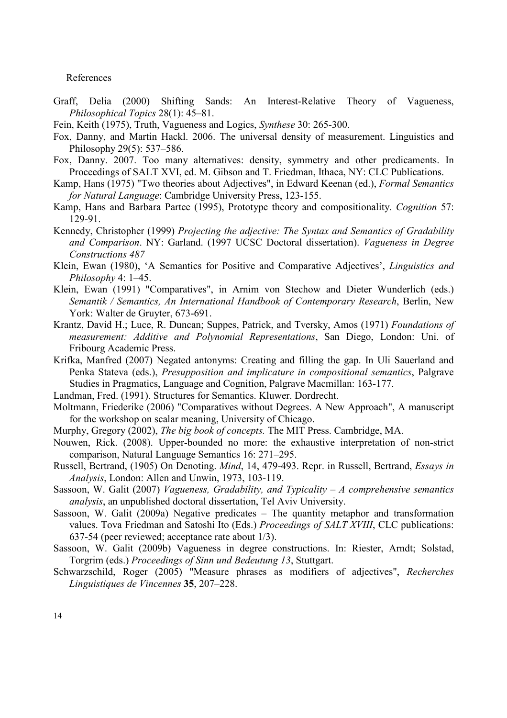#### References

- Graff, Delia (2000) Shifting Sands: An Interest-Relative Theory of Vagueness, Philosophical Topics 28(1): 45–81.
- Fein, Keith (1975), Truth, Vagueness and Logics, Synthese 30: 265-300.
- Fox, Danny, and Martin Hackl. 2006. The universal density of measurement. Linguistics and Philosophy 29(5): 537–586.
- Fox, Danny. 2007. Too many alternatives: density, symmetry and other predicaments. In Proceedings of SALT XVI, ed. M. Gibson and T. Friedman, Ithaca, NY: CLC Publications.
- Kamp, Hans (1975) "Two theories about Adjectives", in Edward Keenan (ed.), Formal Semantics for Natural Language: Cambridge University Press, 123-155.
- Kamp, Hans and Barbara Partee (1995), Prototype theory and compositionality. Cognition 57: 129-91.
- Kennedy, Christopher (1999) Projecting the adjective: The Syntax and Semantics of Gradability and Comparison. NY: Garland. (1997 UCSC Doctoral dissertation). Vagueness in Degree Constructions 487
- Klein, Ewan (1980), 'A Semantics for Positive and Comparative Adjectives', Linguistics and Philosophy 4: 1–45.
- Klein, Ewan (1991) "Comparatives", in Arnim von Stechow and Dieter Wunderlich (eds.) Semantik / Semantics, An International Handbook of Contemporary Research, Berlin, New York: Walter de Gruyter, 673-691.
- Krantz, David H.; Luce, R. Duncan; Suppes, Patrick, and Tversky, Amos (1971) Foundations of measurement: Additive and Polynomial Representations, San Diego, London: Uni. of Fribourg Academic Press.
- Krifka, Manfred (2007) Negated antonyms: Creating and filling the gap. In Uli Sauerland and Penka Stateva (eds.), Presupposition and implicature in compositional semantics, Palgrave Studies in Pragmatics, Language and Cognition, Palgrave Macmillan: 163-177.
- Landman, Fred. (1991). Structures for Semantics. Kluwer. Dordrecht.
- Moltmann, Friederike (2006) "Comparatives without Degrees. A New Approach", A manuscript for the workshop on scalar meaning, University of Chicago.
- Murphy, Gregory (2002), The big book of concepts. The MIT Press. Cambridge, MA.
- Nouwen, Rick. (2008). Upper-bounded no more: the exhaustive interpretation of non-strict comparison, Natural Language Semantics 16: 271–295.
- Russell, Bertrand, (1905) On Denoting. Mind, 14, 479-493. Repr. in Russell, Bertrand, Essays in Analysis, London: Allen and Unwin, 1973, 103-119.
- Sassoon, W. Galit (2007) Vagueness, Gradability, and Typicality A comprehensive semantics analysis, an unpublished doctoral dissertation, Tel Aviv University.
- Sassoon, W. Galit (2009a) Negative predicates The quantity metaphor and transformation values. Tova Friedman and Satoshi Ito (Eds.) Proceedings of SALT XVIII, CLC publications: 637-54 (peer reviewed; acceptance rate about 1/3).
- Sassoon, W. Galit (2009b) Vagueness in degree constructions. In: Riester, Arndt; Solstad, Torgrim (eds.) Proceedings of Sinn und Bedeutung 13, Stuttgart.
- Schwarzschild, Roger (2005) "Measure phrases as modifiers of adjectives", Recherches Linguistiques de Vincennes 35, 207–228.